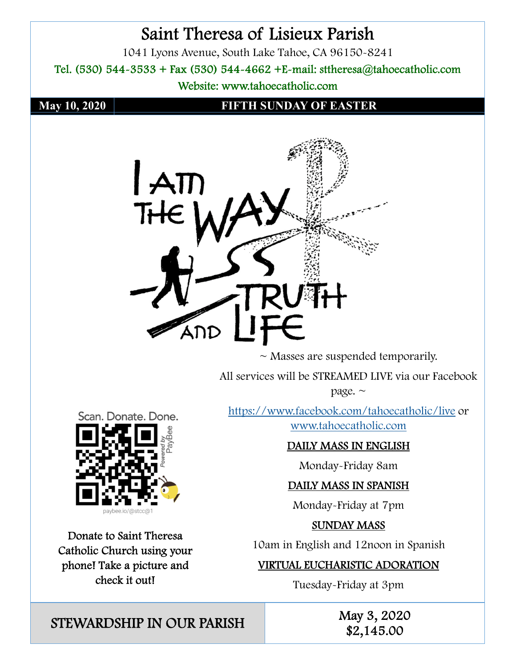# Saint Theresa of Lisieux Parish

1041 Lyons Avenue, South Lake Tahoe, CA 96150-8241

Tel. (530) 544-3533 + Fax (530) 544-4662 + E-mail: sttheresa@tahoecatholic.com

Website: www.tahoecatholic.com

### **May 10, 2020 FIFTH SUNDAY OF EASTER**



 $\sim$  Masses are suspended temporarily.

All services will be STREAMED LIVE via our Facebook

page. ~

https://www.facebook.com/tahoecatholic/live or www.tahoecatholic.com

### DAILY MASS IN ENGLISH

Monday-Friday 8am

DAILY MASS IN SPANISH

Monday-Friday at 7pm

### SUNDAY MASS

10am in English and 12noon in Spanish

VIRTUAL EUCHARISTIC ADORATION

Tuesday-Friday at 3pm

phone! Take a picture and check it out!

# STEWARDSHIP IN OUR PARISH May 3, 2020

\$2,145.00



Donate to Saint Theresa Catholic Church using your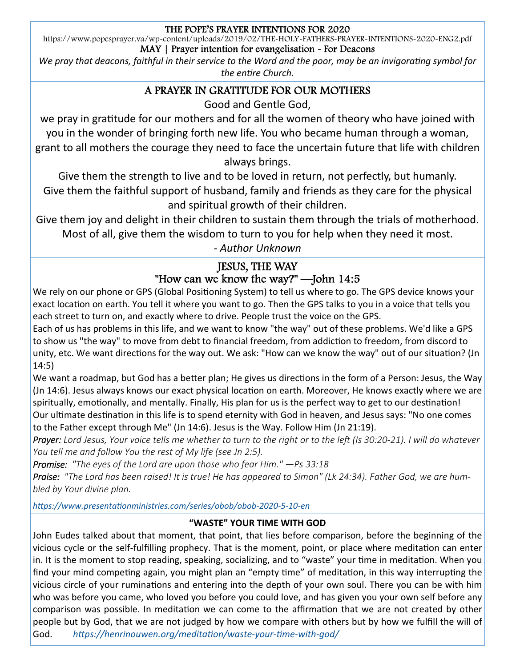#### THE POPE'S PRAYER INTENTIONS FOR 2020

https://www.popesprayer.va/wp-content/uploads/2019/02/THE-HOLY-FATHERS-PRAYER-INTENTIONS-2020-ENG2.pdf MAY | Prayer intention for evangelisation - For Deacons

*We pray that deacons, faithful in their service to the Word and the poor, may be an invigorating symbol for the entire Church.* 

### A PRAYER IN GRATITUDE FOR OUR MOTHERS

Good and Gentle God,

we pray in gratitude for our mothers and for all the women of theory who have joined with you in the wonder of bringing forth new life. You who became human through a woman, grant to all mothers the courage they need to face the uncertain future that life with children always brings.

Give them the strength to live and to be loved in return, not perfectly, but humanly. Give them the faithful support of husband, family and friends as they care for the physical and spiritual growth of their children.

Give them joy and delight in their children to sustain them through the trials of motherhood. Most of all, give them the wisdom to turn to you for help when they need it most.

*‐ Author Unknown* 

### JESUS, THE WAY "How can we know the way?" —John 14:5

We rely on our phone or GPS (Global Positioning System) to tell us where to go. The GPS device knows your exact location on earth. You tell it where you want to go. Then the GPS talks to you in a voice that tells you each street to turn on, and exactly where to drive. People trust the voice on the GPS.

Each of us has problems in this life, and we want to know "the way" out of these problems. We'd like a GPS to show us "the way" to move from debt to financial freedom, from addiction to freedom, from discord to unity, etc. We want directions for the way out. We ask: "How can we know the way" out of our situation? (Jn 14:5)

We want a roadmap, but God has a better plan; He gives us directions in the form of a Person: Jesus, the Way (Jn 14:6). Jesus always knows our exact physical location on earth. Moreover, He knows exactly where we are spiritually, emotionally, and mentally. Finally, His plan for us is the perfect way to get to our destination! Our ultimate destination in this life is to spend eternity with God in heaven, and Jesus says: "No one comes to the Father except through Me" (Jn 14:6). Jesus is the Way. Follow Him (Jn 21:19).

*Prayer: Lord Jesus, Your voice tells me whether to turn to the right or to the left (Is 30:20-21). I will do whatever You tell me and follow You the rest of My life (see Jn 2:5).* 

*Promise: "The eyes of the Lord are upon those who fear Him." —Ps 33:18* 

*Praise: "The Lord has been raised! It is true! He has appeared to Simon" (Lk 24:34). Father God, we are hum‐ bled by Your divine plan.* 

*hƩps://www.presentaƟonministries.com/series/obob/obob‐2020‐5‐10‐en* 

#### **"WASTE" YOUR TIME WITH GOD**

John Eudes talked about that moment, that point, that lies before comparison, before the beginning of the vicious cycle or the self-fulfilling prophecy. That is the moment, point, or place where meditation can enter in. It is the moment to stop reading, speaking, socializing, and to "waste" your time in meditation. When you find your mind competing again, you might plan an "empty time" of meditation, in this way interrupting the vicious circle of your ruminations and entering into the depth of your own soul. There you can be with him who was before you came, who loved you before you could love, and has given you your own self before any comparison was possible. In meditation we can come to the affirmation that we are not created by other people but by God, that we are not judged by how we compare with others but by how we fulfill the will of God. *hƩps://henrinouwen.org/meditaƟon/waste‐your‐Ɵme‐with‐god/*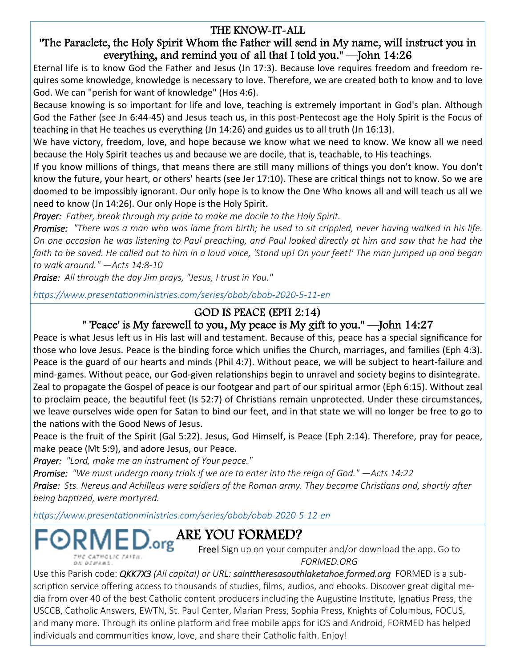### THE KNOW-IT-ALL

### "The Paraclete, the Holy Spirit Whom the Father will send in My name, will instruct you in everything, and remind you of all that I told you." —John 14:26

Eternal life is to know God the Father and Jesus (Jn 17:3). Because love requires freedom and freedom re‐ quires some knowledge, knowledge is necessary to love. Therefore, we are created both to know and to love God. We can "perish for want of knowledge" (Hos 4:6).

Because knowing is so important for life and love, teaching is extremely important in God's plan. Although God the Father (see Jn 6:44‐45) and Jesus teach us, in this post‐Pentecost age the Holy Spirit is the Focus of teaching in that He teaches us everything (Jn 14:26) and guides us to all truth (Jn 16:13).

We have victory, freedom, love, and hope because we know what we need to know. We know all we need because the Holy Spirit teaches us and because we are docile, that is, teachable, to His teachings.

If you know millions of things, that means there are still many millions of things you don't know. You don't know the future, your heart, or others' hearts (see Jer 17:10). These are critical things not to know. So we are doomed to be impossibly ignorant. Our only hope is to know the One Who knows all and will teach us all we need to know (Jn 14:26). Our only Hope is the Holy Spirit.

*Prayer: Father, break through my pride to make me docile to the Holy Spirit.* 

*Promise: "There was a man who was lame from birth; he used to sit crippled, never having walked in his life. On one occasion he was listening to Paul preaching, and Paul looked directly at him and saw that he had the faith to be saved. He called out to him in a loud voice, 'Stand up! On your feet!' The man jumped up and began to walk around." —Acts 14:8‐10* 

*Praise: All through the day Jim prays, "Jesus, I trust in You."* 

*hƩps://www.presentaƟonministries.com/series/obob/obob‐2020‐5‐11‐en* 

### GOD IS PEACE (EPH 2:14)

### " 'Peace' is My farewell to you, My peace is My gift to you." —John 14:27

Peace is what Jesus left us in His last will and testament. Because of this, peace has a special significance for those who love Jesus. Peace is the binding force which unifies the Church, marriages, and families (Eph 4:3). Peace is the guard of our hearts and minds (Phil 4:7). Without peace, we will be subject to heart‐failure and mind-games. Without peace, our God-given relationships begin to unravel and society begins to disintegrate. Zeal to propagate the Gospel of peace is our footgear and part of our spiritual armor (Eph 6:15). Without zeal to proclaim peace, the beautiful feet (Is 52:7) of Christians remain unprotected. Under these circumstances, we leave ourselves wide open for Satan to bind our feet, and in that state we will no longer be free to go to the nations with the Good News of Jesus.

Peace is the fruit of the Spirit (Gal 5:22). Jesus, God Himself, is Peace (Eph 2:14). Therefore, pray for peace, make peace (Mt 5:9), and adore Jesus, our Peace.

*Prayer: "Lord, make me an instrument of Your peace."* 

*Promise: "We must undergo many trials if we are to enter into the reign of God." —Acts 14:22* 

*Praise: Sts. Nereus and Achilleus were soldiers of the Roman army. They became Christians and, shortly after being bapƟzed, were martyred.* 

*hƩps://www.presentaƟonministries.com/series/obob/obob‐2020‐5‐12‐en* 



Free! Sign up on your computer and/or download the app. Go to *FORMED.ORG* 

Use this Parish code: *QKK7X3 (All capital) or URL: sainttheresasouthlaketahoe.formed.org* FORMED is a subscription service offering access to thousands of studies, films, audios, and ebooks. Discover great digital media from over 40 of the best Catholic content producers including the Augustine Institute, Ignatius Press, the USCCB, Catholic Answers, EWTN, St. Paul Center, Marian Press, Sophia Press, Knights of Columbus, FOCUS, and many more. Through its online platform and free mobile apps for iOS and Android, FORMED has helped individuals and communities know, love, and share their Catholic faith. Enjoy!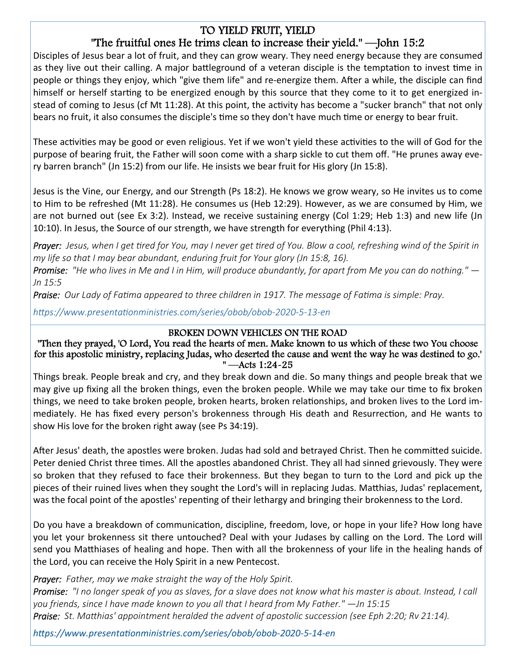### TO YIELD FRUIT, YIELD

### "The fruitful ones He trims clean to increase their yield." —John 15:2

Disciples of Jesus bear a lot of fruit, and they can grow weary. They need energy because they are consumed as they live out their calling. A major battleground of a veteran disciple is the temptation to invest time in people or things they enjoy, which "give them life" and re-energize them. After a while, the disciple can find himself or herself starting to be energized enough by this source that they come to it to get energized instead of coming to Jesus (cf Mt 11:28). At this point, the activity has become a "sucker branch" that not only bears no fruit, it also consumes the disciple's time so they don't have much time or energy to bear fruit.

These activities may be good or even religious. Yet if we won't yield these activities to the will of God for the purpose of bearing fruit, the Father will soon come with a sharp sickle to cut them off. "He prunes away every barren branch" (Jn 15:2) from our life. He insists we bear fruit for His glory (Jn 15:8).

Jesus is the Vine, our Energy, and our Strength (Ps 18:2). He knows we grow weary, so He invites us to come to Him to be refreshed (Mt 11:28). He consumes us (Heb 12:29). However, as we are consumed by Him, we are not burned out (see Ex 3:2). Instead, we receive sustaining energy (Col 1:29; Heb 1:3) and new life (Jn 10:10). In Jesus, the Source of our strength, we have strength for everything (Phil 4:13).

*Prayer: Jesus, when I get tired for You, may I never get tired of You. Blow a cool, refreshing wind of the Spirit in my life so that I may bear abundant, enduring fruit for Your glory (Jn 15:8, 16).* 

*Promise: "He who lives in Me and I in Him, will produce abundantly, for apart from Me you can do nothing." — Jn 15:5* 

*Praise: Our Lady of Fatima appeared to three children in 1917. The message of Fatima is simple: Pray.* 

*hƩps://www.presentaƟonministries.com/series/obob/obob‐2020‐5‐13‐en* 

#### BROKEN DOWN VEHICLES ON THE ROAD

"Then they prayed, 'O Lord, You read the hearts of men. Make known to us which of these two You choose for this apostolic ministry, replacing Judas, who deserted the cause and went the way he was destined to go.' " —Acts 1:24-25

Things break. People break and cry, and they break down and die. So many things and people break that we may give up fixing all the broken things, even the broken people. While we may take our time to fix broken things, we need to take broken people, broken hearts, broken relationships, and broken lives to the Lord immediately. He has fixed every person's brokenness through His death and Resurrection, and He wants to show His love for the broken right away (see Ps 34:19).

After Jesus' death, the apostles were broken. Judas had sold and betrayed Christ. Then he committed suicide. Peter denied Christ three times. All the apostles abandoned Christ. They all had sinned grievously. They were so broken that they refused to face their brokenness. But they began to turn to the Lord and pick up the pieces of their ruined lives when they sought the Lord's will in replacing Judas. Matthias, Judas' replacement, was the focal point of the apostles' repenting of their lethargy and bringing their brokenness to the Lord.

Do you have a breakdown of communication, discipline, freedom, love, or hope in your life? How long have you let your brokenness sit there untouched? Deal with your Judases by calling on the Lord. The Lord will send you Matthiases of healing and hope. Then with all the brokenness of your life in the healing hands of the Lord, you can receive the Holy Spirit in a new Pentecost.

*Prayer: Father, may we make straight the way of the Holy Spirit.* 

*Promise: "I no longer speak of you as slaves, for a slave does not know what his master is about. Instead, I call you friends, since I have made known to you all that I heard from My Father." —Jn 15:15 Praise: St. Matthias' appointment heralded the advent of apostolic succession (see Eph 2:20; Rv 21:14).* 

*hƩps://www.presentaƟonministries.com/series/obob/obob‐2020‐5‐14‐en*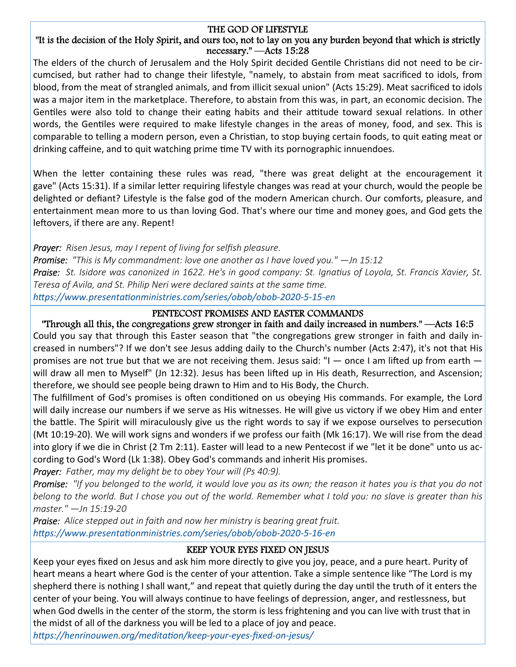#### THE GOD OF LIFESTYLE

#### "It is the decision of the Holy Spirit, and ours too, not to lay on you any burden beyond that which is strictly necessary." —Acts 15:28

The elders of the church of Jerusalem and the Holy Spirit decided Gentile Christians did not need to be circumcised, but rather had to change their lifestyle, "namely, to abstain from meat sacrificed to idols, from blood, from the meat of strangled animals, and from illicit sexual union" (Acts 15:29). Meat sacrificed to idols was a major item in the marketplace. Therefore, to abstain from this was, in part, an economic decision. The Gentiles were also told to change their eating habits and their attitude toward sexual relations. In other words, the Gentiles were required to make lifestyle changes in the areas of money, food, and sex. This is comparable to telling a modern person, even a Christian, to stop buying certain foods, to quit eating meat or drinking caffeine, and to quit watching prime time TV with its pornographic innuendoes.

When the letter containing these rules was read, "there was great delight at the encouragement it gave" (Acts 15:31). If a similar letter requiring lifestyle changes was read at your church, would the people be delighted or defiant? Lifestyle is the false god of the modern American church. Our comforts, pleasure, and entertainment mean more to us than loving God. That's where our time and money goes, and God gets the leftovers, if there are any. Repent!

*Prayer: Risen Jesus, may I repent of living for selfish pleasure. Promise: "This is My commandment: love one another as I have loved you." —Jn 15:12 Praise: St. Isidore was canonized in 1622. He's in good company: St. Ignatius of Loyola, St. Francis Xavier, St. Teresa of Avila, and St. Philip Neri were declared saints at the same time. hƩps://www.presentaƟonministries.com/series/obob/obob‐2020‐5‐15‐en* 

#### PENTECOST PROMISES AND EASTER COMMANDS

"Through all this, the congregations grew stronger in faith and daily increased in numbers." —Acts 16:5 Could you say that through this Easter season that "the congregations grew stronger in faith and daily increased in numbers"? If we don't see Jesus adding daily to the Church's number (Acts 2:47), it's not that His promises are not true but that we are not receiving them. Jesus said: "I  $-$  once I am lifted up from earth  $$ will draw all men to Myself" (Jn 12:32). Jesus has been lifted up in His death, Resurrection, and Ascension; therefore, we should see people being drawn to Him and to His Body, the Church.

The fulfillment of God's promises is often conditioned on us obeying His commands. For example, the Lord will daily increase our numbers if we serve as His witnesses. He will give us victory if we obey Him and enter the battle. The Spirit will miraculously give us the right words to say if we expose ourselves to persecution (Mt 10:19‐20). We will work signs and wonders if we profess our faith (Mk 16:17). We will rise from the dead into glory if we die in Christ (2 Tm 2:11). Easter will lead to a new Pentecost if we "let it be done" unto us ac‐ cording to God's Word (Lk 1:38). Obey God's commands and inherit His promises.

*Prayer: Father, may my delight be to obey Your will (Ps 40:9).* 

*Promise: "If you belonged to the world, it would love you as its own; the reason it hates you is that you do not belong to the world. But I chose you out of the world. Remember what I told you: no slave is greater than his master." —Jn 15:19‐20* 

*Praise: Alice stepped out in faith and now her ministry is bearing great fruit. hƩps://www.presentaƟonministries.com/series/obob/obob‐2020‐5‐16‐en* 

#### KEEP YOUR EYES FIXED ON JESUS

Keep your eyes fixed on Jesus and ask him more directly to give you joy, peace, and a pure heart. Purity of heart means a heart where God is the center of your attention. Take a simple sentence like "The Lord is my shepherd there is nothing I shall want," and repeat that quietly during the day until the truth of it enters the center of your being. You will always continue to have feelings of depression, anger, and restlessness, but when God dwells in the center of the storm, the storm is less frightening and you can live with trust that in the midst of all of the darkness you will be led to a place of joy and peace.

*hƩps://henrinouwen.org/meditaƟon/keep‐your‐eyes‐fixed‐on‐jesus/*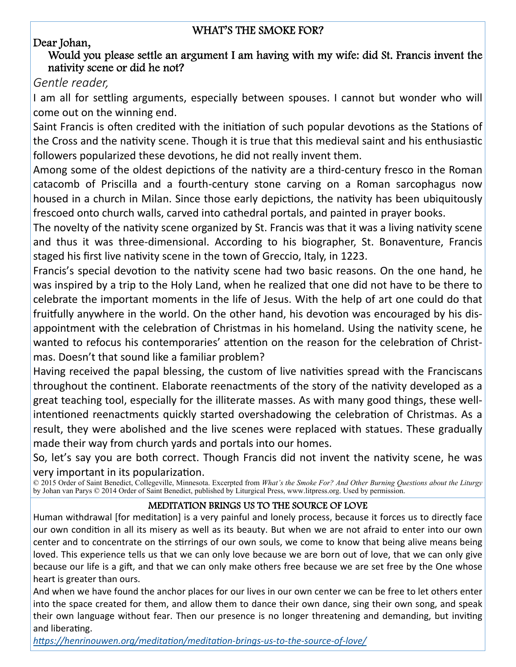### Dear Johan,

### Would you please settle an argument I am having with my wife: did St. Francis invent the nativity scene or did he not?

### *Gentle reader,*

I am all for settling arguments, especially between spouses. I cannot but wonder who will come out on the winning end.

Saint Francis is often credited with the initiation of such popular devotions as the Stations of the Cross and the nativity scene. Though it is true that this medieval saint and his enthusiastic followers popularized these devotions, he did not really invent them.

Among some of the oldest depictions of the nativity are a third-century fresco in the Roman catacomb of Priscilla and a fourth‐century stone carving on a Roman sarcophagus now housed in a church in Milan. Since those early depictions, the nativity has been ubiquitously frescoed onto church walls, carved into cathedral portals, and painted in prayer books.

The novelty of the nativity scene organized by St. Francis was that it was a living nativity scene and thus it was three-dimensional. According to his biographer, St. Bonaventure, Francis staged his first live nativity scene in the town of Greccio, Italy, in 1223.

Francis's special devotion to the nativity scene had two basic reasons. On the one hand, he was inspired by a trip to the Holy Land, when he realized that one did not have to be there to celebrate the important moments in the life of Jesus. With the help of art one could do that fruitfully anywhere in the world. On the other hand, his devotion was encouraged by his disappointment with the celebration of Christmas in his homeland. Using the nativity scene, he wanted to refocus his contemporaries' attention on the reason for the celebration of Christmas. Doesn't that sound like a familiar problem?

Having received the papal blessing, the custom of live nativities spread with the Franciscans throughout the continent. Elaborate reenactments of the story of the nativity developed as a great teaching tool, especially for the illiterate masses. As with many good things, these well‐ intentioned reenactments quickly started overshadowing the celebration of Christmas. As a result, they were abolished and the live scenes were replaced with statues. These gradually made their way from church yards and portals into our homes.

So, let's say you are both correct. Though Francis did not invent the nativity scene, he was very important in its popularization.

© 2015 Order of Saint Benedict, Collegeville, Minnesota. Excerpted from *What's the Smoke For? And Other Burning Questions about the Liturgy* by Johan van Parys © 2014 Order of Saint Benedict, published by Liturgical Press, www.litpress.org. Used by permission.

### MEDITATION BRINGS US TO THE SOURCE OF LOVE

Human withdrawal [for meditation] is a very painful and lonely process, because it forces us to directly face our own condition in all its misery as well as its beauty. But when we are not afraid to enter into our own center and to concentrate on the stirrings of our own souls, we come to know that being alive means being loved. This experience tells us that we can only love because we are born out of love, that we can only give because our life is a gift, and that we can only make others free because we are set free by the One whose heart is greater than ours.

And when we have found the anchor places for our lives in our own center we can be free to let others enter into the space created for them, and allow them to dance their own dance, sing their own song, and speak their own language without fear. Then our presence is no longer threatening and demanding, but inviting and liberating.

*hƩps://henrinouwen.org/meditaƟon/meditaƟon‐brings‐us‐to‐the‐source‐of‐love/*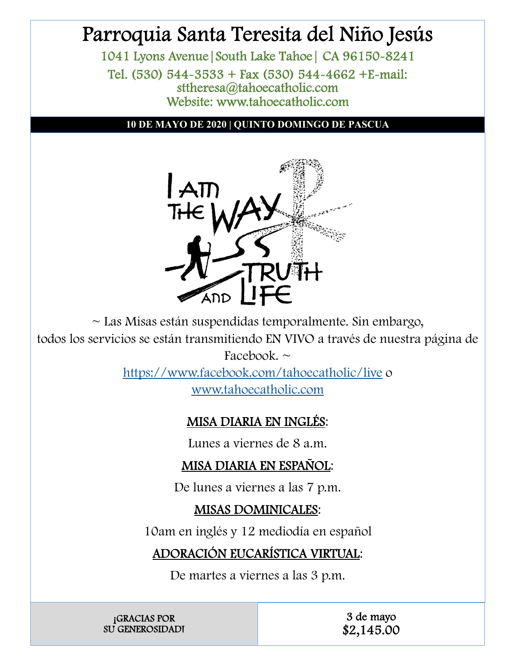# Parroquia Santa Teresita del Niño Jesús

1041 Lyons Avenue|South Lake Tahoe| CA 96150-8241 Tel. (530) 544-3533 + Fax (530) 544-4662 +E-mail: sttheresa@tahoecatholic.com Website: www.tahoecatholic.com

#### **10 DE MAYO DE 2020 | QUINTO DOMINGO DE PASCUA**



~ Las Misas están suspendidas temporalmente. Sin embargo,

todos los servicios se están transmitiendo EN VIVO a través de nuestra página de

Facebook.  $\sim$ https://www.facebook.com/tahoecatholic/live o www.tahoecatholic.com

## MISA DIARIA EN INGLÉS:

Lunes a viernes de 8 a.m.

### MISA DIARIA EN ESPAÑOL:

De lunes a viernes a las 7 p.m.

### MISAS DOMINICALES:

10am en inglés y 12 mediodía en español

## ADORACIÓN EUCARÍSTICA VIRTUAL:

De martes a viernes a las 3 p.m.

¡GRACIAS POR SU GENEROSIDAD!

3 de mayo \$2,145.00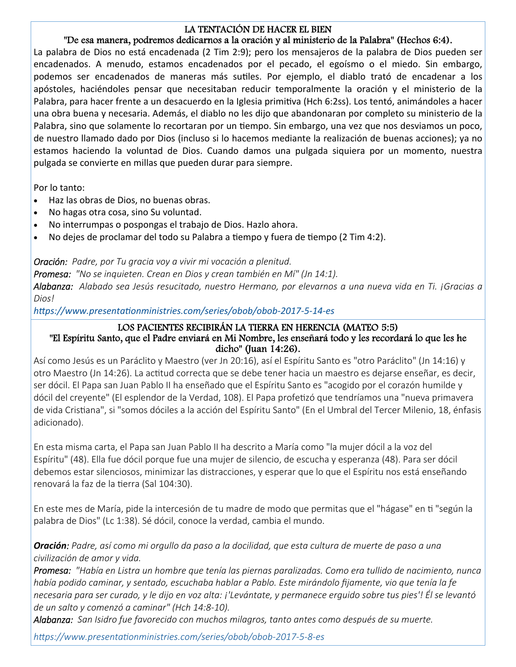#### LA TENTACIÓN DE HACER EL BIEN

"De esa manera, podremos dedicarnos a la oración y al ministerio de la Palabra" (Hechos 6:4). La palabra de Dios no está encadenada (2 Tim 2:9); pero los mensajeros de la palabra de Dios pueden ser encadenados. A menudo, estamos encadenados por el pecado, el egoísmo o el miedo. Sin embargo, podemos ser encadenados de maneras más suƟles. Por ejemplo, el diablo trató de encadenar a los apóstoles, haciéndoles pensar que necesitaban reducir temporalmente la oración y el ministerio de la Palabra, para hacer frente a un desacuerdo en la Iglesia primitiva (Hch 6:2ss). Los tentó, animándoles a hacer una obra buena y necesaria. Además, el diablo no les dijo que abandonaran por completo su ministerio de la Palabra, sino que solamente lo recortaran por un tiempo. Sin embargo, una vez que nos desviamos un poco, de nuestro llamado dado por Dios (incluso si lo hacemos mediante la realización de buenas acciones); ya no estamos haciendo la voluntad de Dios. Cuando damos una pulgada siquiera por un momento, nuestra pulgada se convierte en millas que pueden durar para siempre.

Por lo tanto:

- Haz las obras de Dios, no buenas obras.
- No hagas otra cosa, sino Su voluntad.
- No interrumpas o pospongas el trabajo de Dios. Hazlo ahora.
- $\bullet$  No dejes de proclamar del todo su Palabra a tiempo y fuera de tiempo (2 Tim 4:2).

#### *Oración: Padre, por Tu gracia voy a vivir mi vocación a plenitud.*

*Promesa: "No se inquieten. Crean en Dios y crean también en Mí" (Jn 14:1).* 

*Alabanza: Alabado sea Jesús resucitado, nuestro Hermano, por elevarnos a una nueva vida en Ti. ¡Gracias a Dios!* 

*hƩps://www.presentaƟonministries.com/series/obob/obob‐2017‐5‐14‐es* 

#### LOS PACIENTES RECIBIRÁN LA TIERRA EN HERENCIA (MATEO 5:5) "El Espíritu Santo, que el Padre enviará en Mi Nombre, les enseñará todo y les recordará lo que les he dicho" (Juan 14:26).

Así como Jesús es un Paráclito y Maestro (ver Jn 20:16), así el Espíritu Santo es "otro Paráclito" (Jn 14:16) y otro Maestro (Jn 14:26). La actitud correcta que se debe tener hacia un maestro es dejarse enseñar, es decir, ser dócil. El Papa san Juan Pablo II ha enseñado que el Espíritu Santo es "acogido por el corazón humilde y dócil del creyente" (El esplendor de la Verdad, 108). El Papa profetizó que tendríamos una "nueva primavera de vida Cristiana", si "somos dóciles a la acción del Espíritu Santo" (En el Umbral del Tercer Milenio, 18, énfasis adicionado).

En esta misma carta, el Papa san Juan Pablo II ha descrito a María como "la mujer dócil a la voz del Espíritu" (48). Ella fue dócil porque fue una mujer de silencio, de escucha y esperanza (48). Para ser dócil debemos estar silenciosos, minimizar las distracciones, y esperar que lo que el Espíritu nos está enseñando renovará la faz de la tierra (Sal 104:30).

En este mes de María, pide la intercesión de tu madre de modo que permitas que el "hágase" en ti "según la palabra de Dios" (Lc 1:38). Sé dócil, conoce la verdad, cambia el mundo.

*Oración: Padre, así como mi orgullo da paso a la docilidad, que esta cultura de muerte de paso a una civilización de amor y vida.* 

*Promesa: "Había en Listra un hombre que tenía las piernas paralizadas. Como era tullido de nacimiento, nunca había podido caminar, y sentado, escuchaba hablar a Pablo. Este mirándolo fijamente, vio que tenía la fe necesaria para ser curado, y le dijo en voz alta: ¡'Levántate, y permanece erguido sobre tus pies'! Él se levantó de un salto y comenzó a caminar" (Hch 14:8‐10).* 

*Alabanza: San Isidro fue favorecido con muchos milagros, tanto antes como después de su muerte.* 

*hƩps://www.presentaƟonministries.com/series/obob/obob‐2017‐5‐8‐es*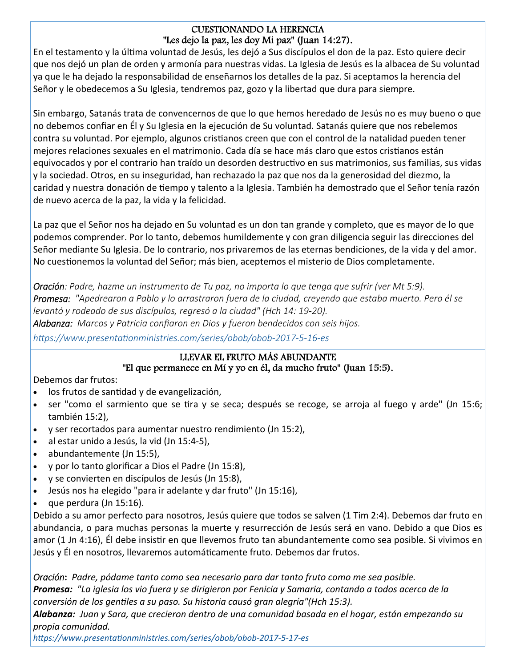#### CUESTIONANDO LA HERENCIA "Les dejo la paz, les doy Mi paz" (Juan 14:27).

En el testamento y la última voluntad de Jesús, les dejó a Sus discípulos el don de la paz. Esto quiere decir que nos dejó un plan de orden y armonía para nuestras vidas. La Iglesia de Jesús es la albacea de Su voluntad ya que le ha dejado la responsabilidad de enseñarnos los detalles de la paz. Si aceptamos la herencia del Señor y le obedecemos a Su Iglesia, tendremos paz, gozo y la libertad que dura para siempre.

Sin embargo, Satanás trata de convencernos de que lo que hemos heredado de Jesús no es muy bueno o que no debemos confiar en Él y Su Iglesia en la ejecución de Su voluntad. Satanás quiere que nos rebelemos contra su voluntad. Por ejemplo, algunos cristianos creen que con el control de la natalidad pueden tener mejores relaciones sexuales en el matrimonio. Cada día se hace más claro que estos cristianos están equivocados y por el contrario han traído un desorden destructivo en sus matrimonios, sus familias, sus vidas y la sociedad. Otros, en su inseguridad, han rechazado la paz que nos da la generosidad del diezmo, la caridad y nuestra donación de tiempo y talento a la Iglesia. También ha demostrado que el Señor tenía razón de nuevo acerca de la paz, la vida y la felicidad.

La paz que el Señor nos ha dejado en Su voluntad es un don tan grande y completo, que es mayor de lo que podemos comprender. Por lo tanto, debemos humildemente y con gran diligencia seguir las direcciones del Señor mediante Su Iglesia. De lo contrario, nos privaremos de las eternas bendiciones, de la vida y del amor. No cuestionemos la voluntad del Señor; más bien, aceptemos el misterio de Dios completamente.

*Oración: Padre, hazme un instrumento de Tu paz, no importa lo que tenga que sufrir (ver Mt 5:9). Promesa: "Apedrearon a Pablo y lo arrastraron fuera de la ciudad, creyendo que estaba muerto. Pero él se levantó y rodeado de sus discípulos, regresó a la ciudad" (Hch 14: 19‐20). Alabanza: Marcos y Patricia confiaron en Dios y fueron bendecidos con seis hijos.* 

*hƩps://www.presentaƟonministries.com/series/obob/obob‐2017‐5‐16‐es* 

#### LLEVAR EL FRUTO MÁS ABUNDANTE "El que permanece en Mí y yo en él, da mucho fruto" (Juan 15:5).

Debemos dar frutos:

- los frutos de santidad y de evangelización,
- ser "como el sarmiento que se tira y se seca; después se recoge, se arroja al fuego y arde" (Jn 15:6; también 15:2),
- y ser recortados para aumentar nuestro rendimiento (Jn 15:2),
- al estar unido a Jesús, la vid (Jn 15:4‐5),
- abundantemente (Jn 15:5),
- y por lo tanto glorificar a Dios el Padre (Jn 15:8),
- y se convierten en discípulos de Jesús (Jn 15:8),
- Jesús nos ha elegido "para ir adelante y dar fruto" (Jn 15:16),
- $\bullet$  que perdura (Jn 15:16).

Debido a su amor perfecto para nosotros, Jesús quiere que todos se salven (1 Tim 2:4). Debemos dar fruto en abundancia, o para muchas personas la muerte y resurrección de Jesús será en vano. Debido a que Dios es amor (1 Jn 4:16), Él debe insistir en que llevemos fruto tan abundantemente como sea posible. Si vivimos en Jesús y Él en nosotros, llevaremos automáticamente fruto. Debemos dar frutos.

*Oración***:** *Padre, pódame tanto como sea necesario para dar tanto fruto como me sea posible. Promesa: "La iglesia los vio fuera y se dirigieron por Fenicia y Samaria, contando a todos acerca de la conversión de los genƟles a su paso. Su historia causó gran alegría"(Hch 15:3). Alabanza: Juan y Sara, que crecieron dentro de una comunidad basada en el hogar, están empezando su propia comunidad.* 

*hƩps://www.presentaƟonministries.com/series/obob/obob‐2017‐5‐17‐es*